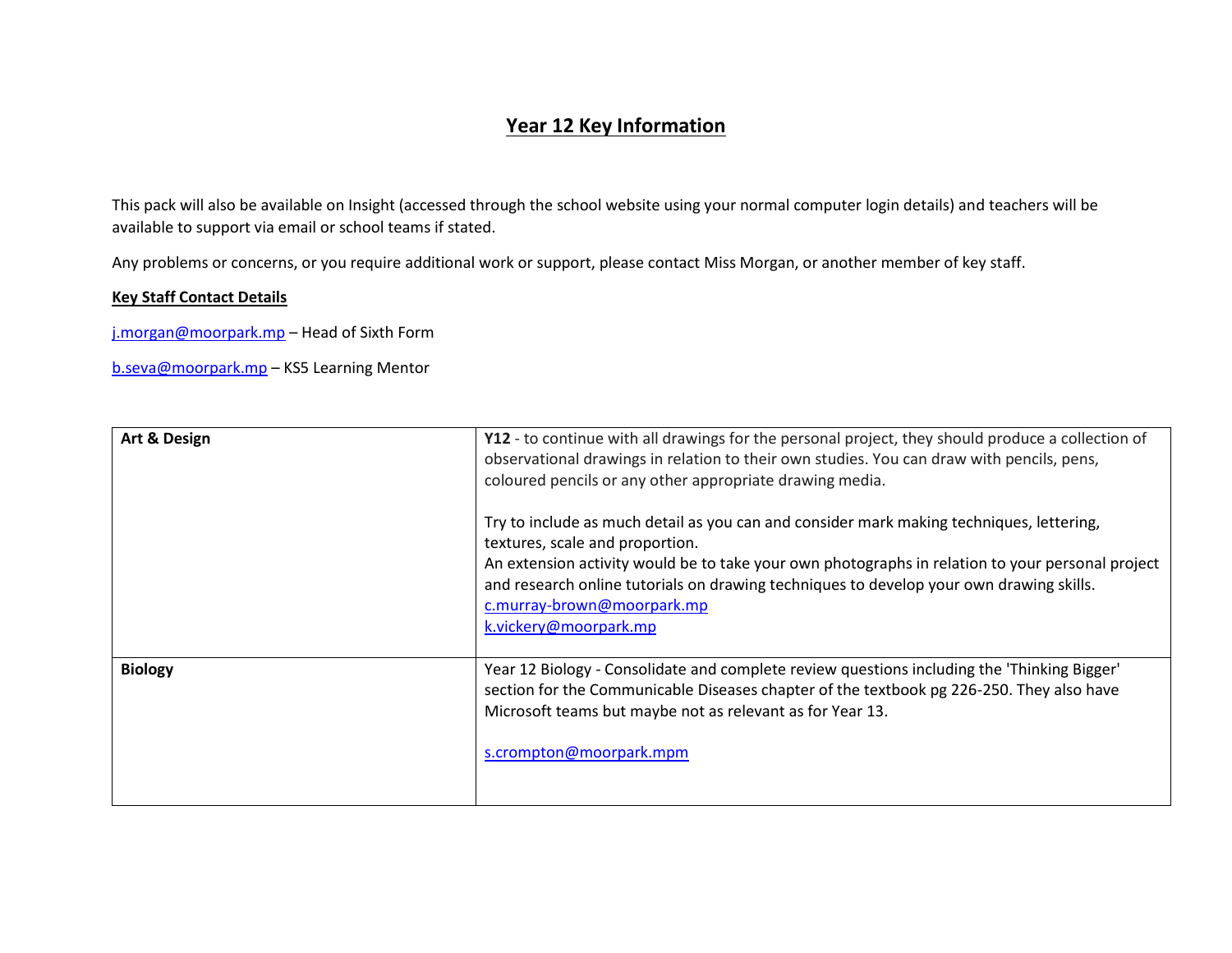## **Year 12 Key Information**

This pack will also be available on Insight (accessed through the school website using your normal computer login details) and teachers will be available to support via email or school teams if stated.

Any problems or concerns, or you require additional work or support, please contact Miss Morgan, or another member of key staff.

## **Key Staff Contact Details**

[j.morgan@moorpark.mp](mailto:j.morgan@moorpark.mp) – Head of Sixth Form

[b.seva@moorpark.mp](mailto:b.seva@moorpark.mp) – KS5 Learning Mentor

| Art & Design   | Y12 - to continue with all drawings for the personal project, they should produce a collection of<br>observational drawings in relation to their own studies. You can draw with pencils, pens,<br>coloured pencils or any other appropriate drawing media.                                                                                                                        |
|----------------|-----------------------------------------------------------------------------------------------------------------------------------------------------------------------------------------------------------------------------------------------------------------------------------------------------------------------------------------------------------------------------------|
|                | Try to include as much detail as you can and consider mark making techniques, lettering,<br>textures, scale and proportion.<br>An extension activity would be to take your own photographs in relation to your personal project<br>and research online tutorials on drawing techniques to develop your own drawing skills.<br>c.murray-brown@moorpark.mp<br>k.vickery@moorpark.mp |
| <b>Biology</b> | Year 12 Biology - Consolidate and complete review questions including the 'Thinking Bigger'<br>section for the Communicable Diseases chapter of the textbook pg 226-250. They also have<br>Microsoft teams but maybe not as relevant as for Year 13.<br>s.crompton@moorpark.mpm                                                                                                   |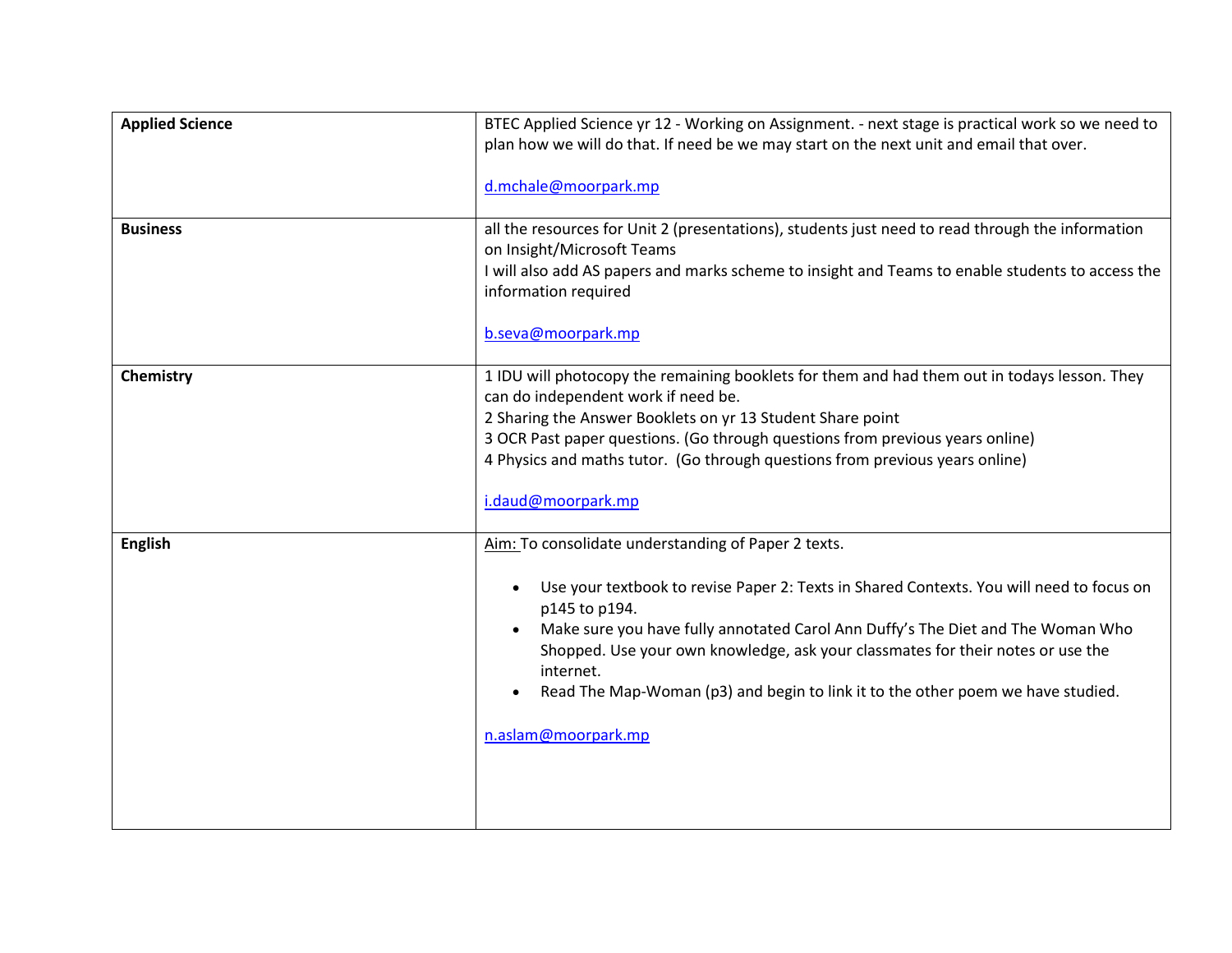| <b>Applied Science</b> | BTEC Applied Science yr 12 - Working on Assignment. - next stage is practical work so we need to<br>plan how we will do that. If need be we may start on the next unit and email that over.                                                                                                                                                                                                                                                                                |
|------------------------|----------------------------------------------------------------------------------------------------------------------------------------------------------------------------------------------------------------------------------------------------------------------------------------------------------------------------------------------------------------------------------------------------------------------------------------------------------------------------|
|                        | d.mchale@moorpark.mp                                                                                                                                                                                                                                                                                                                                                                                                                                                       |
| <b>Business</b>        | all the resources for Unit 2 (presentations), students just need to read through the information<br>on Insight/Microsoft Teams<br>I will also add AS papers and marks scheme to insight and Teams to enable students to access the<br>information required<br>b.seva@moorpark.mp                                                                                                                                                                                           |
| Chemistry              | 1 IDU will photocopy the remaining booklets for them and had them out in todays lesson. They<br>can do independent work if need be.<br>2 Sharing the Answer Booklets on yr 13 Student Share point<br>3 OCR Past paper questions. (Go through questions from previous years online)<br>4 Physics and maths tutor. (Go through questions from previous years online)<br>i.daud@moorpark.mp                                                                                   |
| <b>English</b>         | Aim: To consolidate understanding of Paper 2 texts.<br>Use your textbook to revise Paper 2: Texts in Shared Contexts. You will need to focus on<br>p145 to p194.<br>Make sure you have fully annotated Carol Ann Duffy's The Diet and The Woman Who<br>Shopped. Use your own knowledge, ask your classmates for their notes or use the<br>internet.<br>Read The Map-Woman (p3) and begin to link it to the other poem we have studied.<br>$\bullet$<br>n.aslam@moorpark.mp |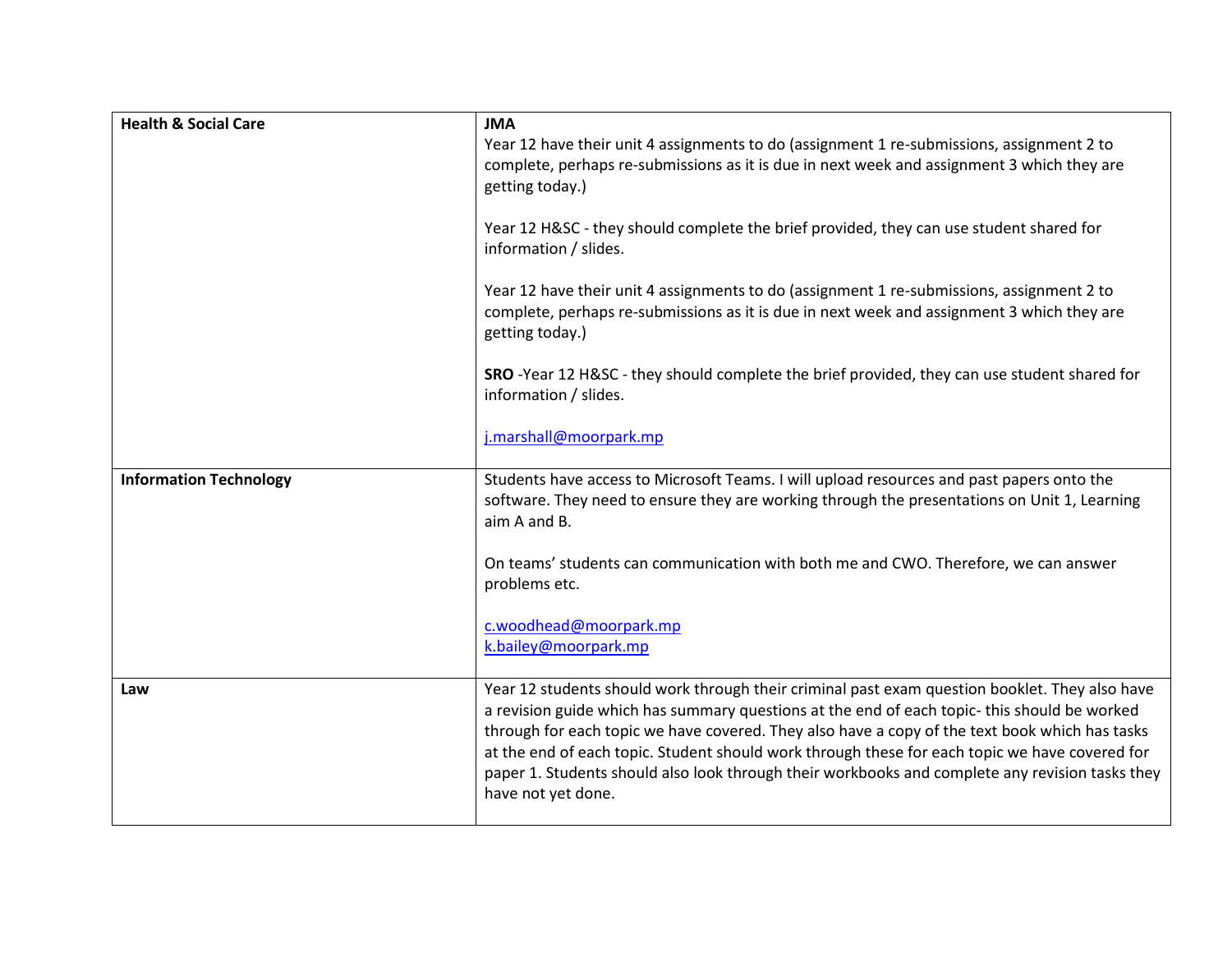| <b>Health &amp; Social Care</b> | <b>JMA</b>                                                                                                                                                                                                                                                                                                                                                                                                                                                                                                                  |
|---------------------------------|-----------------------------------------------------------------------------------------------------------------------------------------------------------------------------------------------------------------------------------------------------------------------------------------------------------------------------------------------------------------------------------------------------------------------------------------------------------------------------------------------------------------------------|
|                                 | Year 12 have their unit 4 assignments to do (assignment 1 re-submissions, assignment 2 to<br>complete, perhaps re-submissions as it is due in next week and assignment 3 which they are<br>getting today.)                                                                                                                                                                                                                                                                                                                  |
|                                 | Year 12 H&SC - they should complete the brief provided, they can use student shared for<br>information / slides.                                                                                                                                                                                                                                                                                                                                                                                                            |
|                                 | Year 12 have their unit 4 assignments to do (assignment 1 re-submissions, assignment 2 to<br>complete, perhaps re-submissions as it is due in next week and assignment 3 which they are<br>getting today.)                                                                                                                                                                                                                                                                                                                  |
|                                 | SRO -Year 12 H&SC - they should complete the brief provided, they can use student shared for<br>information / slides.                                                                                                                                                                                                                                                                                                                                                                                                       |
|                                 | j.marshall@moorpark.mp                                                                                                                                                                                                                                                                                                                                                                                                                                                                                                      |
| <b>Information Technology</b>   | Students have access to Microsoft Teams. I will upload resources and past papers onto the<br>software. They need to ensure they are working through the presentations on Unit 1, Learning<br>aim A and B.                                                                                                                                                                                                                                                                                                                   |
|                                 | On teams' students can communication with both me and CWO. Therefore, we can answer<br>problems etc.                                                                                                                                                                                                                                                                                                                                                                                                                        |
|                                 | c.woodhead@moorpark.mp<br>k.bailey@moorpark.mp                                                                                                                                                                                                                                                                                                                                                                                                                                                                              |
| Law                             | Year 12 students should work through their criminal past exam question booklet. They also have<br>a revision guide which has summary questions at the end of each topic- this should be worked<br>through for each topic we have covered. They also have a copy of the text book which has tasks<br>at the end of each topic. Student should work through these for each topic we have covered for<br>paper 1. Students should also look through their workbooks and complete any revision tasks they<br>have not yet done. |